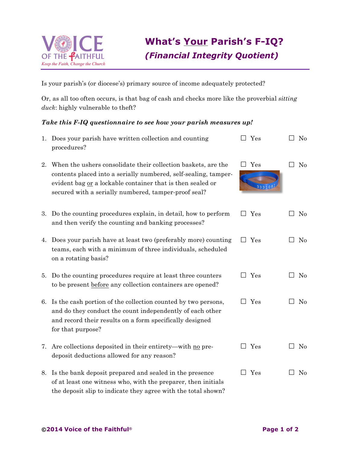

Is your parish's (or diocese's) primary source of income adequately protected?

Or, as all too often occurs, is that bag of cash and checks more like the proverbial *sitting duck*: highly vulnerable to theft?

## *Take this F-IQ questionnaire to see how your parish measures up!*

|    | 1. Does your parish have written collection and counting<br>procedures?                                                                                                                                                                                | $\square$ Yes       | No       |
|----|--------------------------------------------------------------------------------------------------------------------------------------------------------------------------------------------------------------------------------------------------------|---------------------|----------|
| 2. | When the ushers consolidate their collection baskets, are the<br>contents placed into a serially numbered, self-sealing, tamper-<br>evident bag or a lockable container that is then sealed or<br>secured with a serially numbered, tamper-proof seal? | Yes<br>333106       | $\rm No$ |
| 3. | Do the counting procedures explain, in detail, how to perform<br>and then verify the counting and banking processes?                                                                                                                                   | Yes<br>$\mathsf{L}$ | $\rm No$ |
| 4. | Does your parish have at least two (preferably more) counting<br>teams, each with a minimum of three individuals, scheduled<br>on a rotating basis?                                                                                                    | $\Box$ Yes          | $\rm No$ |
|    | 5. Do the counting procedures require at least three counters<br>to be present before any collection containers are opened?                                                                                                                            | Yes<br>$\mathsf{L}$ | No       |
| 6. | Is the cash portion of the collection counted by two persons,<br>and do they conduct the count independently of each other<br>and record their results on a form specifically designed<br>for that purpose?                                            | Yes                 | No       |
|    | 7. Are collections deposited in their entirety—with no pre-<br>deposit deductions allowed for any reason?                                                                                                                                              | Yes<br>$\mathsf{L}$ | $\rm No$ |
|    | 8. Is the bank deposit prepared and sealed in the presence<br>of at least one witness who, with the preparer, then initials                                                                                                                            | Yes                 | No       |

the deposit slip to indicate they agree with the total shown?